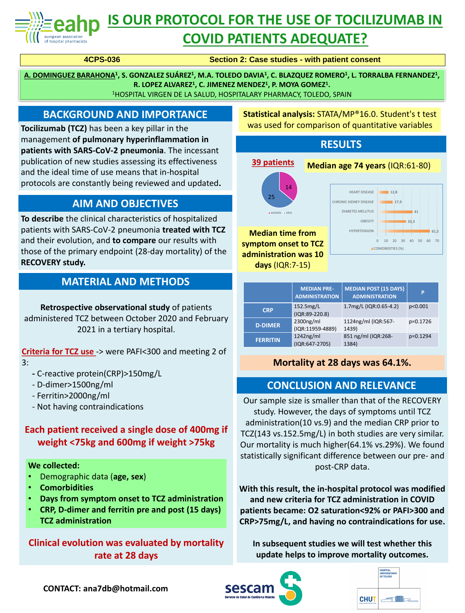

# **IS OUR PROTOCOL FOR THE USE OF TOCILIZUMAB IN**

## **COVID PATIENTS ADEQUATE?**

Our sample size is smaller than that of the RECOVERY study. However, the days of symptoms until TCZ administration(10 vs.9) and the median CRP prior to TCZ(143 vs.152.5mg/L) in both studies are very similar. Our mortality is much higher(64.1% vs.29%). We found statistically significant difference between our pre- and post-CRP data.

**With this result, the in-hospital protocol was modified and new criteria for TCZ administration in COVID patients became: O2 saturation<92% or PAFI>300 and CRP>75mg/L, and having no contraindications for use.**

**In subsequent studies we will test whether this update helps to improve mortality outcomes.**





#### **BACKGROUND AND IMPORTANCE**

**Tocilizumab (TCZ)** has been a key pillar in the management **of pulmonary hyperinflammation in patients with SARS-CoV-2 pneumonia**. The incessant publication of new studies assessing its effectiveness and the ideal time of use means that in-hospital protocols are constantly being reviewed and updated**.**

**A. DOMINGUEZ BARAHONA<sup>1</sup> , S. GONZALEZ SUÁREZ<sup>1</sup> , M.A. TOLEDO DAVIA<sup>1</sup> , C. BLAZQUEZ ROMERO<sup>1</sup> , L. TORRALBA FERNANDEZ 1 , R. LOPEZ ALVAREZ<sup>1</sup> , C. JIMENEZ MENDEZ<sup>1</sup> , P. MOYA GOMEZ<sup>1</sup> .** <sup>1</sup>HOSPITAL VIRGEN DE LA SALUD, HOSPITALARY PHARMACY, TOLEDO, SPAIN

**CONTACT: ana7db@hotmail.com**





#### **AIM AND OBJECTIVES**

**To describe** the clinical characteristics of hospitalized patients with SARS-CoV-2 pneumonia **treated with TCZ**  and their evolution, and **to compare** our results with those of the primary endpoint (28-day mortality) of the **RECOVERY study.**

#### **CONCLUSION AND RELEVANCE**

### **RESULTS**

**Retrospective observational study** of patients administered TCZ between October 2020 and February 2021 in a tertiary hospital.

**Criteria for TCZ use** -> were PAFI<300 and meeting 2 of

- 3:
- **-** C-reactive protein(CRP)>150mg/L
- D-dimer>1500ng/ml
- Ferritin>2000ng/ml
- Not having contraindications

**Each patient received a single dose of 400mg if weight <75kg and 600mg if weight >75kg**

#### **Clinical evolution was evaluated by mortality rate at 28 days**

#### **MATERIAL AND METHODS**

#### **We collected:**

- Demographic data (**age, sex**)
- **Comorbidities**
- **Days from symptom onset to TCZ administration**
- **CRP, D-dimer and ferritin pre and post (15 days) TCZ administration**

**4CPS-036 Section 2: Case studies - with patient consent**

#### **Mortality at 28 days was 64.1%.**



**Statistical analysis:** STATA/MP®16.0. Student's t test was used for comparison of quantitative variables

**P**

|                 | <b>ADMINISTRATION</b> | <b>ADMINISTRATION</b>  |            |
|-----------------|-----------------------|------------------------|------------|
| <b>CRP</b>      | 152.5mg/L             | 1.7mg/L (IQR:0.65-4.2) | p<0.001    |
|                 | $(IQR:89-220.8)$      |                        |            |
| <b>D-DIMER</b>  | 2300ng/ml             | 1124ng/ml (IQR:567-    | $p=0.1726$ |
|                 | (IQR:11959-4889)      | 1439)                  |            |
| <b>FERRITIN</b> | 1242ng/ml             | 851 ng/ml (IQR:268-    | $p=0.1294$ |
|                 | $(IQR:647-2705)$      | 1384)                  |            |